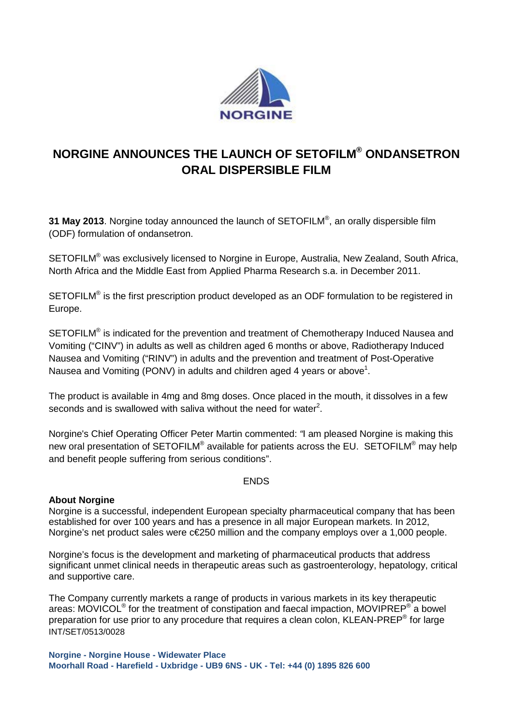

# **NORGINE ANNOUNCES THE LAUNCH OF SETOFILM® ONDANSETRON ORAL DISPERSIBLE FILM**

**31 May 2013**. Norgine today announced the launch of SETOFILM®, an orally dispersible film (ODF) formulation of ondansetron.

SETOFILM® was exclusively licensed to Norgine in Europe, Australia, New Zealand, South Africa, North Africa and the Middle East from Applied Pharma Research s.a. in December 2011.

SETOFILM<sup>®</sup> is the first prescription product developed as an ODF formulation to be registered in Europe.

SETOFILM<sup>®</sup> is indicated for the prevention and treatment of Chemotherapy Induced Nausea and Vomiting ("CINV") in adults as well as children aged 6 months or above, Radiotherapy Induced Nausea and Vomiting ("RINV") in adults and the prevention and treatment of Post-Operative Nausea and Vomiting (PONV) in adults and children aged 4 years or above<sup>1</sup>.

The product is available in 4mg and 8mg doses. Once placed in the mouth, it dissolves in a few seconds and is swallowed with saliva without the need for water<sup>2</sup>.

Norgine's Chief Operating Officer Peter Martin commented: *"*I am pleased Norgine is making this new oral presentation of SETOFILM<sup>®</sup> available for patients across the EU. SETOFILM<sup>®</sup> may help and benefit people suffering from serious conditions".

# ENDS

# **About Norgine**

Norgine is a successful, independent European specialty pharmaceutical company that has been established for over 100 years and has a presence in all major European markets. In 2012, Norgine's net product sales were c€250 million and the company employs over a 1,000 people.

Norgine's focus is the development and marketing of pharmaceutical products that address significant unmet clinical needs in therapeutic areas such as gastroenterology, hepatology, critical and supportive care.

INT/SET/0513/0028 The Company currently markets a range of products in various markets in its key therapeutic areas:  $MOVICOL<sup>®</sup>$  for the treatment of constipation and faecal impaction,  $MOVIPREF<sup>®</sup>$  a bowel preparation for use prior to any procedure that requires a clean colon, KLEAN-PREP® for large

**Norgine - Norgine House - Widewater Place Moorhall Road - Harefield - Uxbridge - UB9 6NS - UK - Tel: +44 (0) 1895 826 600**